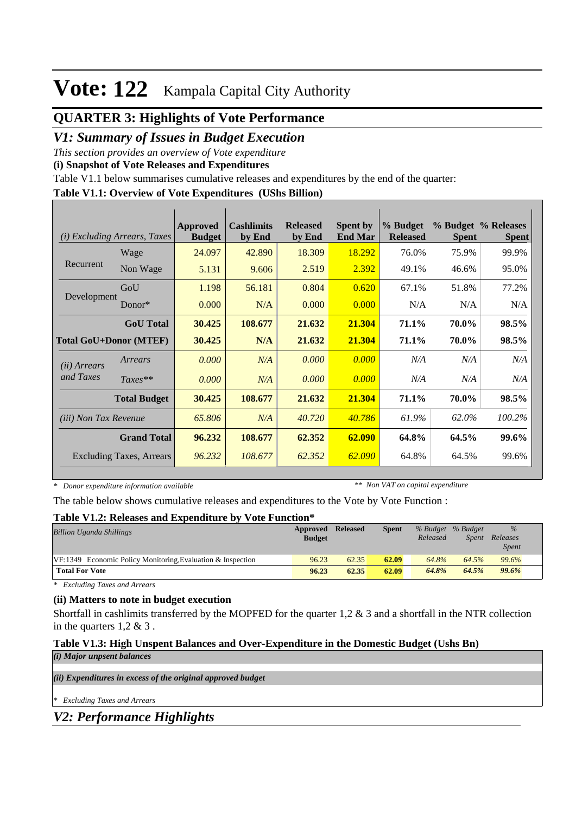# **Vote: 122** Kampala Capital City Authority

## **QUARTER 3: Highlights of Vote Performance**

## *V1: Summary of Issues in Budget Execution*

*This section provides an overview of Vote expenditure* 

**(i) Snapshot of Vote Releases and Expenditures**

Table V1.1 below summarises cumulative releases and expenditures by the end of the quarter:

#### **Table V1.1: Overview of Vote Expenditures (UShs Billion)**

| (i)                           | <i>Excluding Arrears, Taxes</i> | Approved<br><b>Budget</b> | <b>Cashlimits</b><br>by End | <b>Released</b><br>by End | <b>Spent by</b><br><b>End Mar</b> | % Budget<br><b>Released</b> | <b>Spent</b> | % Budget % Releases<br><b>Spent</b> |
|-------------------------------|---------------------------------|---------------------------|-----------------------------|---------------------------|-----------------------------------|-----------------------------|--------------|-------------------------------------|
|                               | Wage                            | 24.097                    | 42.890                      | 18.309                    | 18.292                            | 76.0%                       | 75.9%        | 99.9%                               |
| Recurrent                     | Non Wage                        | 5.131                     | 9.606                       | 2.519                     | 2.392                             | 49.1%                       | 46.6%        | 95.0%                               |
|                               | GoU                             | 1.198                     | 56.181                      | 0.804                     | 0.620                             | 67.1%                       | 51.8%        | 77.2%                               |
| Development                   | $Donor*$                        | 0.000                     | N/A                         | 0.000                     | 0.000                             | N/A                         | N/A          | N/A                                 |
|                               | <b>GoU</b> Total                | 30.425                    | 108.677                     | 21.632                    | 21.304                            | 71.1%                       | 70.0%        | 98.5%                               |
| <b>Total GoU+Donor (MTEF)</b> |                                 | 30.425                    | N/A                         | 21.632                    | 21.304                            | 71.1%                       | 70.0%        | 98.5%                               |
| ( <i>ii</i> ) Arrears         | Arrears                         | 0.000                     | N/A                         | 0.000                     | 0.000                             | N/A                         | N/A          | N/A                                 |
| and Taxes                     | $Taxes**$                       | 0.000                     | N/A                         | 0.000                     | 0.000                             | N/A                         | N/A          | N/A                                 |
|                               | <b>Total Budget</b>             | 30.425                    | 108.677                     | 21.632                    | 21.304                            | 71.1%                       | 70.0%        | 98.5%                               |
| <i>(iii)</i> Non Tax Revenue  |                                 | 65.806                    | N/A                         | 40.720                    | 40.786                            | 61.9%                       | 62.0%        | 100.2%                              |
|                               | <b>Grand Total</b>              | 96.232                    | 108.677                     | 62.352                    | 62.090                            | 64.8%                       | 64.5%        | 99.6%                               |
|                               | <b>Excluding Taxes, Arrears</b> | 96.232                    | 108.677                     | 62.352                    | 62.090                            | 64.8%                       | 64.5%        | 99.6%                               |

*\* Donor expenditure information available*

*\*\* Non VAT on capital expenditure*

The table below shows cumulative releases and expenditures to the Vote by Vote Function :

#### **Table V1.2: Releases and Expenditure by Vote Function\***

| <b>Billion Uganda Shillings</b>                                | Approved<br><b>Budget</b> | <b>Released</b> | <b>Spent</b> | Released | % Budget % Budget<br>Spent | $\%$<br>Releases<br><i>Spent</i> |  |
|----------------------------------------------------------------|---------------------------|-----------------|--------------|----------|----------------------------|----------------------------------|--|
| $VF: 1349$ Economic Policy Monitoring, Evaluation & Inspection | 96.23                     | 62.35           | 62.09        | 64.8%    | 64.5%                      | 99.6%                            |  |
| <b>Total For Vote</b>                                          | 96.23                     | 62.35           | 62.09        | 64.8%    | 64.5%                      | 99.6%                            |  |

*\* Excluding Taxes and Arrears*

#### **(ii) Matters to note in budget execution**

Shortfall in cashlimits transferred by the MOPFED for the quarter  $1,2 \& 3$  and a shortfall in the NTR collection in the quarters  $1,2 \& 3$ .

#### **Table V1.3: High Unspent Balances and Over-Expenditure in the Domestic Budget (Ushs Bn)**

*(i) Major unpsent balances*

*(ii) Expenditures in excess of the original approved budget*

*\* Excluding Taxes and Arrears*

*V2: Performance Highlights*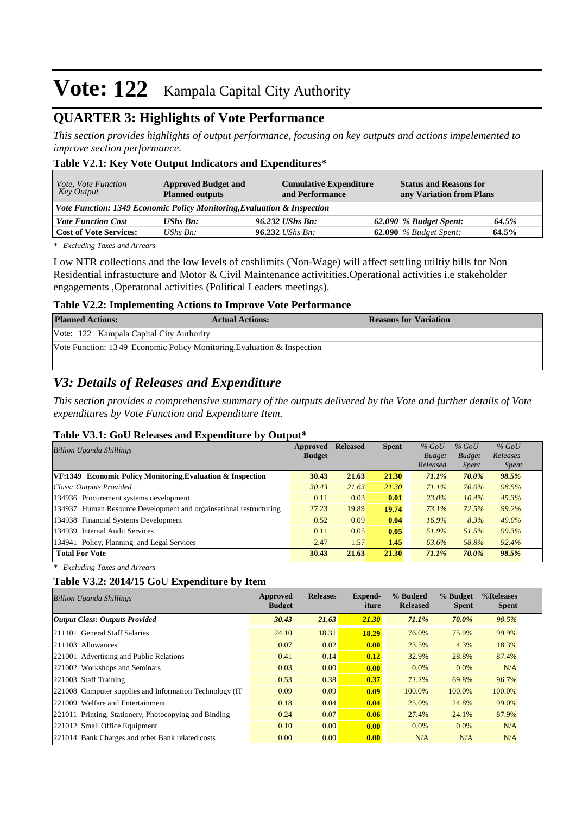# **Vote: 122** Kampala Capital City Authority

## **QUARTER 3: Highlights of Vote Performance**

*This section provides highlights of output performance, focusing on key outputs and actions impelemented to improve section performance.*

#### **Table V2.1: Key Vote Output Indicators and Expenditures\***

| <i>Vote, Vote Function</i><br>Key Output                                | <b>Approved Budget and</b><br><b>Planned outputs</b> | <b>Cumulative Expenditure</b><br>and Performance | <b>Status and Reasons for</b><br>any Variation from Plans |       |
|-------------------------------------------------------------------------|------------------------------------------------------|--------------------------------------------------|-----------------------------------------------------------|-------|
| Vote Function: 1349 Economic Policy Monitoring, Evaluation & Inspection |                                                      |                                                  |                                                           |       |
| <b>Vote Function Cost</b>                                               | <b>UShs Bn:</b>                                      | 96.232 UShs Bn:                                  | 62.090 % Budget Spent:                                    | 64.5% |
| <b>Cost of Vote Services:</b>                                           | UShs $B_n$ :                                         | $96.232$ UShs Bn:                                | $62.090$ % Budget Spent:                                  | 64.5% |

*\* Excluding Taxes and Arrears*

Low NTR collections and the low levels of cashlimits (Non-Wage) will affect settling utiltiy bills for Non Residential infrastucture and Motor & Civil Maintenance activitities.Operational activities i.e stakeholder engagements ,Operatonal activities (Political Leaders meetings).

#### **Table V2.2: Implementing Actions to Improve Vote Performance**

| <b>Planned Actions:</b>                                                  | <b>Actual Actions:</b> | <b>Reasons for Variation</b> |
|--------------------------------------------------------------------------|------------------------|------------------------------|
| Vote: 122 Kampala Capital City Authority                                 |                        |                              |
| Vote Function: 13.49 Economic Policy Monitoring, Evaluation & Inspection |                        |                              |

## *V3: Details of Releases and Expenditure*

*This section provides a comprehensive summary of the outputs delivered by the Vote and further details of Vote expenditures by Vote Function and Expenditure Item.*

#### **Table V3.1: GoU Releases and Expenditure by Output\***

| <b>Billion Uganda Shillings</b>                                    |               | <b>Released</b> | <b>Spent</b> | $%$ GoU       | $%$ GoU       | $%$ GoU      |
|--------------------------------------------------------------------|---------------|-----------------|--------------|---------------|---------------|--------------|
|                                                                    | <b>Budget</b> |                 |              | <b>Budget</b> | <b>Budget</b> | Releases     |
|                                                                    |               |                 |              | Released      | <i>Spent</i>  | <i>Spent</i> |
| VF:1349 Economic Policy Monitoring, Evaluation & Inspection        | 30.43         | 21.63           | 21.30        | 71.1%         | 70.0%         | 98.5%        |
| Class: Outputs Provided                                            | 30.43         | 21.63           | 21.30        | $71.1\%$      | 70.0%         | 98.5%        |
| 134936 Procurement systems development                             | 0.11          | 0.03            | 0.01         | 23.0%         | 10.4%         | 45.3%        |
| 134937 Human Resource Development and orgainsational restructuring | 27.23         | 19.89           | 19.74        | 73.1%         | 72.5%         | 99.2%        |
| 134938 Financial Systems Development                               | 0.52          | 0.09            | 0.04         | 16.9%         | 8.3%          | 49.0%        |
| 134939 Internal Audit Services                                     | 0.11          | 0.05            | 0.05         | 51.9%         | 51.5%         | 99.3%        |
| 134941 Policy, Planning and Legal Services                         | 2.47          | 1.57            | 1.45         | 63.6%         | 58.8%         | 92.4%        |
| <b>Total For Vote</b>                                              | 30.43         | 21.63           | 21.30        | 71.1%         | 70.0%         | 98.5%        |

*\* Excluding Taxes and Arrears*

#### **Table V3.2: 2014/15 GoU Expenditure by Item**

| <b>Billion Uganda Shillings</b>                          | Approved<br><b>Budget</b> | <b>Releases</b> | <b>Expend-</b><br>iture | % Budged<br><b>Released</b> | % Budget<br><b>Spent</b> | %Releases<br><b>Spent</b> |
|----------------------------------------------------------|---------------------------|-----------------|-------------------------|-----------------------------|--------------------------|---------------------------|
| <b>Output Class: Outputs Provided</b>                    | 30.43                     | 21.63           | 21.30                   | 71.1%                       | 70.0%                    | 98.5%                     |
| 211101 General Staff Salaries                            | 24.10                     | 18.31           | 18.29                   | 76.0%                       | 75.9%                    | 99.9%                     |
| $ 211103$ Allowances                                     | 0.07                      | 0.02            | 0.00                    | 23.5%                       | 4.3%                     | 18.3%                     |
| 221001 Advertising and Public Relations                  | 0.41                      | 0.14            | 0.12                    | 32.9%                       | 28.8%                    | 87.4%                     |
| 221002 Workshops and Seminars                            | 0.03                      | 0.00            | 0.00                    | $0.0\%$                     | $0.0\%$                  | N/A                       |
| 221003 Staff Training                                    | 0.53                      | 0.38            | 0.37                    | 72.2%                       | 69.8%                    | 96.7%                     |
| 221008 Computer supplies and Information Technology (IT) | 0.09                      | 0.09            | 0.09                    | 100.0%                      | 100.0%                   | 100.0%                    |
| 221009 Welfare and Entertainment                         | 0.18                      | 0.04            | 0.04                    | 25.0%                       | 24.8%                    | 99.0%                     |
| 221011 Printing, Stationery, Photocopying and Binding    | 0.24                      | 0.07            | 0.06                    | 27.4%                       | 24.1%                    | 87.9%                     |
| 221012 Small Office Equipment                            | 0.10                      | 0.00            | 0.00                    | $0.0\%$                     | $0.0\%$                  | N/A                       |
| 221014 Bank Charges and other Bank related costs         | 0.00                      | 0.00            | 0.00                    | N/A                         | N/A                      | N/A                       |